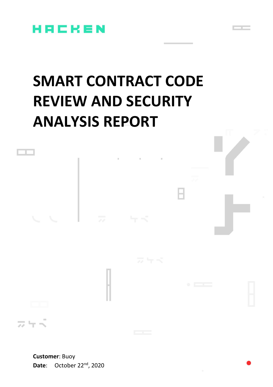

# **SMART CONTRACT CODE REVIEW AND SECURITY ANALYSIS REPORT**



**Customer**: Buoy **Date:** October 22<sup>nd</sup>, 2020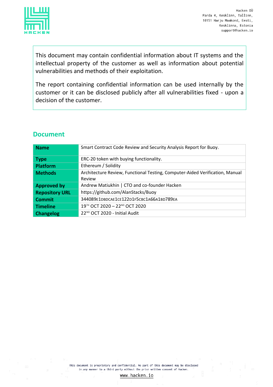

This document may contain confidential information about IT systems and the intellectual property of the customer as well as information about potential vulnerabilities and methods of their exploitation.

The report containing confidential information can be used internally by the customer or it can be disclosed publicly after all vulnerabilities fixed - upon a decision of the customer.

#### **Document**

| <b>Name</b>           | Smart Contract Code Review and Security Analysis Report for Buoy.                      |  |
|-----------------------|----------------------------------------------------------------------------------------|--|
| Type                  | ERC-20 token with buying functionality.                                                |  |
| <b>Platform</b>       | Ethereum / Solidity                                                                    |  |
| <b>Methods</b>        | Architecture Review, Functional Testing, Computer-Aided Verification, Manual<br>Review |  |
| <b>Approved by</b>    | Andrew Matiukhin   CTO and co-founder Hacken                                           |  |
| <b>Repository URL</b> | https://github.com/AlanStacks/Buoy                                                     |  |
| <b>Commit</b>         | 344089E1DBDCAE1CE122D1F5CBC1A66A1BD789EA                                               |  |
| <b>Timeline</b>       | 19TH OCT 2020 - 22ND OCT 2020                                                          |  |
| <b>Changelog</b>      | 22 <sup>ND</sup> OCT 2020 - Initial Audit                                              |  |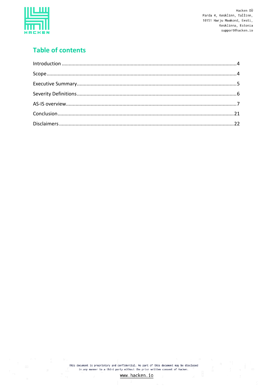

# **Table of contents**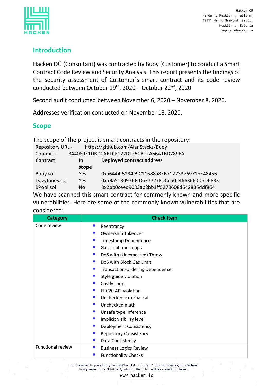

## <span id="page-3-0"></span>**Introduction**

Hacken OÜ (Consultant) was contracted by Buoy (Customer) to conduct a Smart Contract Code Review and Security Analysis. This report presents the findings of the security assessment of Customer`s smart contract and its code review conducted between October 19<sup>th</sup>, 2020 – October 22<sup>nd</sup>, 2020.

Second audit conducted between November 6, 2020 – November 8, 2020.

Addresses verification conducted on November 18, 2020.

### <span id="page-3-1"></span>**Scope**

| The scope of the project is smart contracts in the repository: |       |                                            |  |  |
|----------------------------------------------------------------|-------|--------------------------------------------|--|--|
| https://github.com/AlanStacks/Buoy<br>Repository URL -         |       |                                            |  |  |
| 344089E1DBDCAE1CE122D1F5CBC1A66A1BD789EA<br>Commit -           |       |                                            |  |  |
| <b>Deployed contract address</b><br><b>Contract</b><br>In      |       |                                            |  |  |
|                                                                | scope |                                            |  |  |
| Buoy.sol                                                       | Yes.  | 0xa6444f5234e9C1C688a8EB71273376971bE48456 |  |  |
| DavyJones.sol                                                  | Yes   | 0xaBa513097f04D637727FDCda0246636E0D5D6833 |  |  |
| <b>BPool.sol</b>                                               | No.   | 0x2bb0ceed9083ab2bb1ff5270608d642835ddf864 |  |  |

We have scanned this smart contract for commonly known and more specific vulnerabilities. Here are some of the commonly known vulnerabilities that are considered:

| <b>Category</b>          | <b>Check Item</b>                                          |  |  |
|--------------------------|------------------------------------------------------------|--|--|
| Code review              | Reentrancy<br>ш                                            |  |  |
|                          | <b>Ownership Takeover</b>                                  |  |  |
|                          | Timestamp Dependence                                       |  |  |
|                          | Gas Limit and Loops                                        |  |  |
|                          | $\mathcal{L}_{\mathcal{A}}$<br>DoS with (Unexpected) Throw |  |  |
|                          | DoS with Block Gas Limit<br>$\blacksquare$                 |  |  |
|                          | <b>Transaction-Ordering Dependence</b><br>ш                |  |  |
|                          | Style guide violation                                      |  |  |
|                          | Costly Loop                                                |  |  |
|                          | <b>ERC20 API violation</b>                                 |  |  |
|                          | Unchecked external call                                    |  |  |
|                          | Unchecked math                                             |  |  |
|                          | Unsafe type inference<br>$\mathcal{L}_{\mathcal{A}}$       |  |  |
|                          | Implicit visibility level<br>ш                             |  |  |
|                          | Deployment Consistency                                     |  |  |
|                          | <b>Repository Consistency</b>                              |  |  |
|                          | Data Consistency                                           |  |  |
| <b>Functional review</b> | $\mathbf{r}$<br><b>Business Logics Review</b>              |  |  |
|                          | <b>Functionality Checks</b>                                |  |  |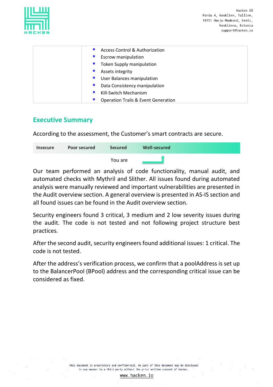| ♦ |         |  |  |
|---|---------|--|--|
|   | ٠<br>=. |  |  |

| <b>Access Control &amp; Authorization</b>      |
|------------------------------------------------|
| <b>Escrow manipulation</b>                     |
| ■ Token Supply manipulation                    |
| Assets integrity                               |
| User Balances manipulation                     |
| Data Consistency manipulation                  |
| Kill-Switch Mechanism                          |
| <b>Operation Trails &amp; Event Generation</b> |

### <span id="page-4-0"></span>**Executive Summary**

According to the assessment, the Customer's smart contracts are secure.

| <b>Insecure</b> | <b>Poor secured</b> | <b>Secured</b> | Well-secured |  |
|-----------------|---------------------|----------------|--------------|--|
|                 |                     | You are        |              |  |

Our team performed an analysis of code functionality, manual audit, and automated checks with Mythril and Slither. All issues found during automated analysis were manually reviewed and important vulnerabilities are presented in the Audit overview section. A general overview is presented in AS-IS section and all found issues can be found in the Audit overview section.

Security engineers found 3 critical, 3 medium and 2 low severity issues during the audit. The code is not tested and not following project structure best practices.

After the second audit, security engineers found additional issues: 1 critical. The code is not tested.

After the address's verification process, we confirm that a poolAddress is set up to the BalancerPool (BPool) address and the corresponding critical issue can be considered as fixed.

> This document is proprietary and confidential. No part of this document may be disclosed in any manner to a third party without the prior written consent of Hacken.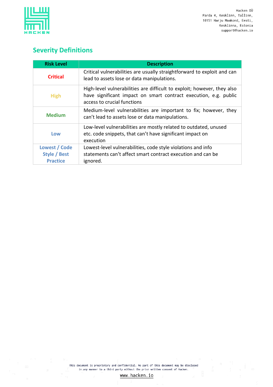

# <span id="page-5-0"></span>**Severity Definitions**

| <b>Risk Level</b>                                                                                                                                                                         | <b>Description</b>                                                                                                                         |  |  |
|-------------------------------------------------------------------------------------------------------------------------------------------------------------------------------------------|--------------------------------------------------------------------------------------------------------------------------------------------|--|--|
| <b>Critical</b>                                                                                                                                                                           | Critical vulnerabilities are usually straightforward to exploit and can<br>lead to assets lose or data manipulations.                      |  |  |
| High-level vulnerabilities are difficult to exploit; however, they also<br>have significant impact on smart contract execution, e.g. public<br><b>High</b><br>access to crucial functions |                                                                                                                                            |  |  |
| <b>Medium</b>                                                                                                                                                                             | Medium-level vulnerabilities are important to fix; however, they<br>can't lead to assets lose or data manipulations.                       |  |  |
| Low                                                                                                                                                                                       | Low-level vulnerabilities are mostly related to outdated, unused<br>etc. code snippets, that can't have significant impact on<br>execution |  |  |
| Lowest / Code                                                                                                                                                                             | Lowest-level vulnerabilities, code style violations and info                                                                               |  |  |
| <b>Style / Best</b>                                                                                                                                                                       | statements can't affect smart contract execution and can be                                                                                |  |  |
| <b>Practice</b>                                                                                                                                                                           | ignored.                                                                                                                                   |  |  |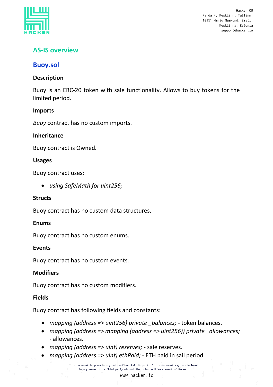

# <span id="page-6-0"></span>**AS-IS overview**

#### **Buoy.sol**

#### **Description**

Buoy is an ERC-20 token with sale functionality. Allows to buy tokens for the limited period.

#### **Imports**

*Buoy* contract has no custom imports.

#### **Inheritance**

Buoy contract is Owned*.*

#### **Usages**

Buoy contract uses:

• *using SafeMath for uint256;*

#### **Structs**

Buoy contract has no custom data structures.

#### **Enums**

Buoy contract has no custom enums.

#### **Events**

Buoy contract has no custom events.

#### **Modifiers**

Buoy contract has no custom modifiers.

#### **Fields**

Buoy contract has following fields and constants:

- *mapping (address => uint256) private \_balances;* token balances.
- *mapping (address => mapping (address => uint256)) private \_allowances;* - allowances.
- *mapping (address => uint) reserves;* sale reserves.
- *mapping (address => uint) ethPaid;* ETH paid in sail period.

This document is proprietary and confidential. No part of this document may be disclosed in any manner to a third party without the prior written consent of Hacken.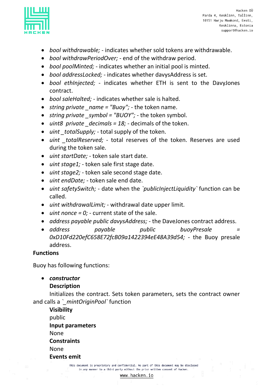

- *bool withdrawable;* indicates whether sold tokens are withdrawable.
- *bool withdrawPeriodOver;* end of the withdraw period.
- *bool poolMinted;* indicates whether an initial pool is minted.
- *bool addressLocked;* indicates whether davysAddress is set.
- *bool ethInjected;* indicates whether ETH is sent to the DavyJones contract.
- *bool saleHalted;* indicates whether sale is halted.
- *string private name = "Buoy";* the token name.
- *string private symbol = "BUOY";* the token symbol.
- *uint8 private decimals = 18;* decimals of the token.
- *uint \_totalSupply;* total supply of the token.
- *uint \_totalReserved;* total reserves of the token. Reserves are used during the token sale.
- *uint startDate;* token sale start date.
- *uint stage1;* token sale first stage date.
- *uint stage2;* token sale second stage date.
- *uint endDate;* token sale end date.
- *uint safetySwitch;* date when the *`publicInjectLiquidity`* function can be called.
- *uint withdrawalLimit;* withdrawal date upper limit.
- $\bullet$  *uint nonce = 0;* current state of the sale.
- *address payable public davysAddress;* the DaveJones contract address.
- *address payable public buoyPresale = 0xD10Fd220efC658E72fcB09a1422394eE48A39d54;* - the Buoy presale address.

#### **Functions**

Buoy has following functions:

• *constructor*

#### **Description**

Initializes the contract. Sets token parameters, sets the contract owner and calls a *`\_mintOriginPool`* function

**Visibility** public **Input parameters** None **Constraints** None **Events emit**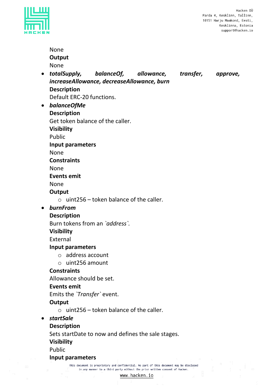

|           | <b>None</b>                                                                              |
|-----------|------------------------------------------------------------------------------------------|
|           | Output                                                                                   |
|           | <b>None</b>                                                                              |
| $\bullet$ | balance Of, allowance, transfer,<br>totalSupply,<br>approve,                             |
|           | increaseAllowance, decreaseAllowance, burn                                               |
|           | <b>Description</b><br>Default ERC-20 functions.                                          |
| $\bullet$ | balanceOfMe                                                                              |
|           | <b>Description</b>                                                                       |
|           | Get token balance of the caller.                                                         |
|           | <b>Visibility</b>                                                                        |
|           | Public                                                                                   |
|           | Input parameters                                                                         |
|           | <b>None</b>                                                                              |
|           | <b>Constraints</b>                                                                       |
|           | <b>None</b>                                                                              |
|           | <b>Events emit</b>                                                                       |
|           | None                                                                                     |
|           | Output                                                                                   |
|           | uint256 - token balance of the caller.<br>$\circ$                                        |
| $\bullet$ | burnFrom                                                                                 |
|           | <b>Description</b>                                                                       |
|           | Burn tokens from an `address`.                                                           |
|           | <b>Visibility</b>                                                                        |
|           | External                                                                                 |
|           | <b>Input parameters</b>                                                                  |
|           | $\circ$ address account                                                                  |
|           | uint256 amount<br>$\bigcirc$                                                             |
|           | <b>Constraints</b>                                                                       |
|           | Allowance should be set.                                                                 |
|           | <b>Events emit</b>                                                                       |
|           | Emits the 'Transfer' event.                                                              |
|           | Output<br>uint256 – token balance of the caller.<br>$\cap$                               |
| $\bullet$ | <b>startSale</b>                                                                         |
|           | <b>Description</b>                                                                       |
|           | Sets startDate to now and defines the sale stages.                                       |
|           | <b>Visibility</b>                                                                        |
|           | Public                                                                                   |
|           | Input parameters                                                                         |
|           | This document is proprietary and confidential. No part of this document may be disclosed |
|           | in any manner to a third party without the prior written consent of Hacken.              |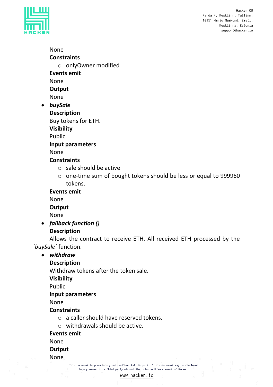



None **Constraints** o onlyOwner modified **Events emit** None **Output**

None

• *buySale*

**Description** Buy tokens for ETH.

**Visibility**

Public

**Input parameters**

None

#### **Constraints**

- o sale should be active
- o one-time sum of bought tokens should be less or equal to 999960 tokens.

**Events emit**

None

**Output**

None

• *fallback function ()* **Description**

Allows the contract to receive ETH. All received ETH processed by the *`buySale`* function.

#### • *withdraw*

#### **Description**

Withdraw tokens after the token sale.

**Visibility**

Public

#### **Input parameters**

None

# **Constraints**

- o a caller should have reserved tokens.
- o withdrawals should be active.

**Events emit**

None

#### **Output**

None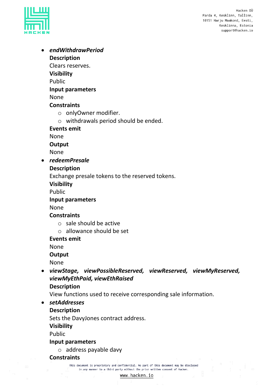

• *endWithdrawPeriod* **Description**

Clears reserves.

**Visibility**

Public

#### **Input parameters**

None

#### **Constraints**

- o onlyOwner modifier.
- o withdrawals period should be ended.

**Events emit**

None

**Output**

None

• *redeemPresale*

#### **Description**

Exchange presale tokens to the reserved tokens.

**Visibility**

Public

#### **Input parameters**

None

#### **Constraints**

- o sale should be active
- o allowance should be set

**Events emit**

None

#### **Output**

None

- *viewStage, viewPossibleReserved, viewReserved, viewMyReserved, viewMyEthPaid, viewEthRaised*
	- **Description**

View functions used to receive corresponding sale information.

• *setAddresses*

#### **Description**

Sets the DavyJones contract address.

**Visibility**

Public

#### **Input parameters**

o address payable davy

#### **Constraints**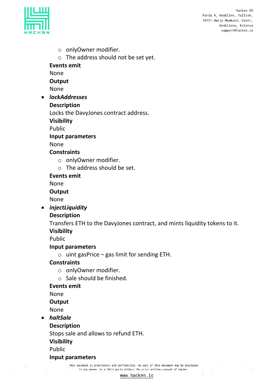

- o onlyOwner modifier.
- o The address should not be set yet.

**Events emit**

None

**Output**

None

• *lockAddresses*

#### **Description**

Locks the DavyJones contract address.

**Visibility**

Public

#### **Input parameters**

None

#### **Constraints**

- o onlyOwner modifier.
- o The address should be set.

**Events emit**

None

**Output**

None

• *injectLiquidity*

#### **Description**

Transfers ETH to the DavyJones contract, and mints liquidity tokens to it. **Visibility**

Public

#### **Input parameters**

 $\circ$  uint gasPrice – gas limit for sending ETH.

#### **Constraints**

- o onlyOwner modifier.
- o Sale should be finished.

#### **Events emit**

None

#### **Output**

None

• *haltSale*

#### **Description**

Stops sale and allows to refund ETH.

**Visibility**

Public

#### **Input parameters**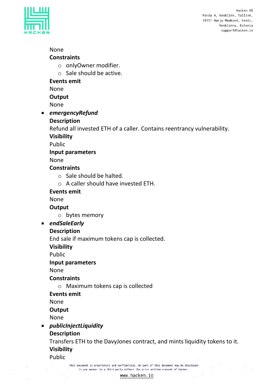

#### None

#### **Constraints**

- o onlyOwner modifier.
- o Sale should be active.

#### **Events emit**

None

**Output**

None

• *emergencyRefund*

#### **Description**

Refund all invested ETH of a caller. Contains reentrancy vulnerability.

**Visibility**

Public

#### **Input parameters**

None

#### **Constraints**

- o Sale should be halted.
- o A caller should have invested ETH.

#### **Events emit**

# None

**Output**

o bytes memory

#### • *endSaleEarly*

#### **Description**

End sale if maximum tokens cap is collected.

**Visibility**

Public

#### **Input parameters**

None

#### **Constraints**

o Maximum tokens cap is collected

#### **Events emit**

None

#### **Output**

None

# • *publicInjectLiquidity*

**Description**

Transfers ETH to the DavyJones contract, and mints liquidity tokens to it. **Visibility**

Public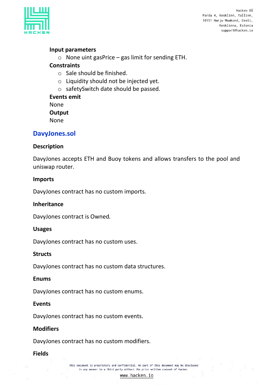

#### **Input parameters**

 $\circ$  None uint gasPrice – gas limit for sending ETH.

#### **Constraints**

- o Sale should be finished.
- o Liquidity should not be injected yet.
- o safetySwitch date should be passed.

**Events emit** None **Output** None

#### **DavyJones.sol**

#### **Description**

DavyJones accepts ETH and Buoy tokens and allows transfers to the pool and uniswap router.

#### **Imports**

DavyJones contract has no custom imports.

#### **Inheritance**

DavyJones contract is Owned*.*

#### **Usages**

DavyJones contract has no custom uses.

#### **Structs**

DavyJones contract has no custom data structures.

#### **Enums**

DavyJones contract has no custom enums.

#### **Events**

DavyJones contract has no custom events.

#### **Modifiers**

DavyJones contract has no custom modifiers.

#### **Fields**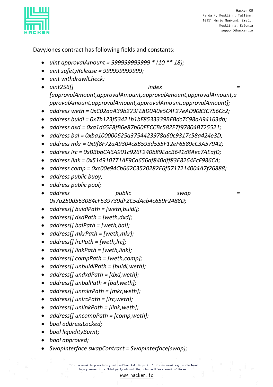

DavyJones contract has following fields and constants:

- *uint approvalAmount = 999999999999 \* (10 \*\* 18);*
- *uint safetyRelease = 999999999999;*
- *uint withdrawlCheck;*
- *uint256[] index [approvalAmount,approvalAmount,approvalAmount,approvalAmount,a pprovalAmount,approvalAmount,approvalAmount,approvalAmount];*
- *address weth = 0xC02aaA39b223FE8D0A0e5C4F27eAD9083C756Cc2;*
- *address buidl = 0x7b123f53421b1bF8533339BFBdc7C98aA94163db;*
- *address dxd = 0xa1d65E8fB6e87b60FECCBc582F7f97804B725521;*
- *address bal = 0xba100000625a3754423978a60c9317c58a424e3D;*
- *address mkr = 0x9f8F72aA9304c8B593d555F12eF6589cC3A579A2;*
- *address lrc = 0xBBbbCA6A901c926F240b89EacB641d8Aec7AEafD;*
- *address link = 0x514910771AF9Ca656af840dff83E8264EcF986CA;*
- *address comp = 0xc00e94Cb662C3520282E6f5717214004A7f26888;*
- *address public buoy;*
- *address public pool;*
- *address public swap = 0x7a250d5630B4cF539739dF2C5dAcb4c659F2488D;*
- *address[] buidlPath = [weth,buidl];*
- *address[] dxdPath = [weth,dxd];*
- *address[] balPath = [weth,bal];*
- *address[] mkrPath = [weth,mkr];*
- *address[] lrcPath = [weth,lrc];*
- *address[] linkPath = [weth,link];*
- *address[] compPath = [weth,comp];*
- *address[] unbuidlPath = [buidl,weth];*
- *address[] undxdPath = [dxd,weth];*
- *address[] unbalPath = [bal,weth];*
- *address[] unmkrPath = [mkr,weth];*
- *address[] unlrcPath = [lrc,weth];*
- *address[] unlinkPath = [link,weth];*
- *address[] uncompPath = [comp,weth];*
- *bool addressLocked;*
- *bool liquidityBurnt;*
- *bool approved;*
- *SwapInterface swapContract = SwapInterface(swap);*

This document is proprietary and confidential. No part of this document may be disclosed in any manner to a third party without the prior written consent of Hacken.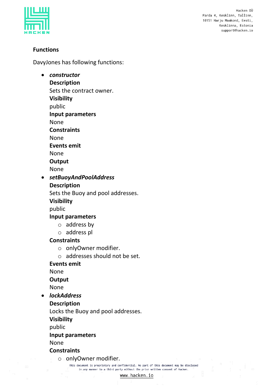

#### **Functions**

DavyJones has following functions:

• *constructor* **Description** Sets the contract owner. **Visibility** public **Input parameters** None **Constraints** None **Events emit** None **Output** None • *setBuoyAndPoolAddress* **Description** Sets the Buoy and pool addresses. **Visibility** public **Input parameters** o address by o address pl **Constraints** o onlyOwner modifier. o addresses should not be set. **Events emit** None **Output** None • *lockAddress* **Description** Locks the Buoy and pool addresses. **Visibility**

public

#### **Input parameters**

None

#### **Constraints**

o onlyOwner modifier.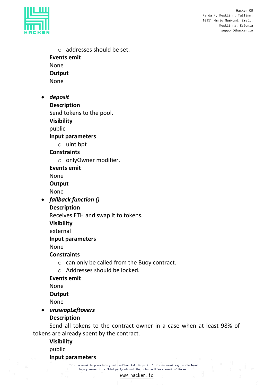

o addresses should be set. **Events emit** None **Output** None • *deposit*

**Description**

Send tokens to the pool.

**Visibility**

public

**Input parameters**

o uint bpt

#### **Constraints**

o onlyOwner modifier.

**Events emit**

None

**Output**

None

• *fallback function ()*

**Description**

Receives ETH and swap it to tokens.

**Visibility**

external

#### **Input parameters**

None

#### **Constraints**

- o can only be called from the Buoy contract.
- o Addresses should be locked.

#### **Events emit**

None

#### **Output**

None

• *unswapLeftovers*

#### **Description**

Send all tokens to the contract owner in a case when at least 98% of tokens are already spent by the contract.

**Visibility** public

**Input parameters**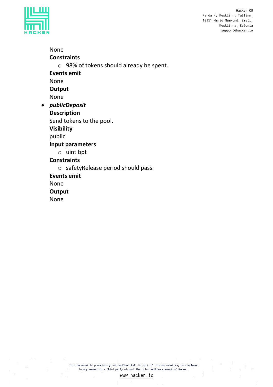

None **Constraints** o 98% of tokens should already be spent. **Events emit** None **Output** None • *publicDeposit* **Description** Send tokens to the pool. **Visibility** public **Input parameters** o uint bpt **Constraints** o safetyRelease period should pass. **Events emit** None **Output** None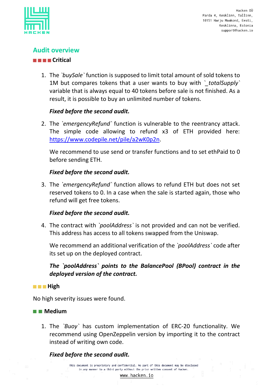

# **Audit overview**

#### **Critical**

1. The *`buySale`* function is supposed to limit total amount of sold tokens to 1M but compares tokens that a user wants to buy with *`\_totalSupply`* variable that is always equal to 40 tokens before sale is not finished. As a result, it is possible to buy an unlimited number of tokens.

#### *Fixed before the second audit.*

2. The *`emergencyRefund`* function is vulnerable to the reentrancy attack. The simple code allowing to refund x3 of ETH provided here: [https://www.codepile.net/pile/a2wK0p2n.](https://www.codepile.net/pile/a2wK0p2n)

We recommend to use send or transfer functions and to set ethPaid to 0 before sending ETH.

#### *Fixed before the second audit.*

3. The *`emergencyRefund`* function allows to refund ETH but does not set reserved tokens to 0. In a case when the sale is started again, those who refund will get free tokens.

#### *Fixed before the second audit.*

4. The contract with *`poolAddress`* is not provided and can not be verified. This address has access to all tokens swapped from the Uniswap.

We recommend an additional verification of the *`poolAddress`* code after its set up on the deployed contract.

*The `poolAddress` points to the BalancePool (BPool) contract in the deployed version of the contract.* 

#### **High**

No high severity issues were found.

#### **Medium**

1. The *`Buoy`* has custom implementation of ERC-20 functionality. We recommend using OpenZeppelin version by importing it to the contract instead of writing own code.

#### *Fixed before the second audit.*

This document is proprietary and confidential. No part of this document may be disclosed in any manner to a third party without the prior written consent of Hacken.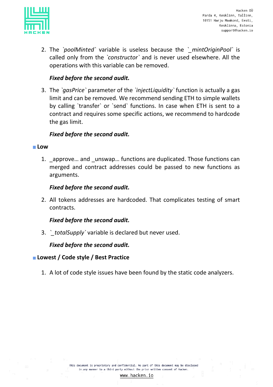

2. The *`poolMinted`* variable is useless because the *`\_mintOriginPool`* is called only from the *`constructor`* and is never used elsewhere. All the operations with this variable can be removed.

#### *Fixed before the second audit.*

3. The *`gasPrice`* parameter of the *`injectLiquidity`* function is actually a gas limit and can be removed. We recommend sending ETH to simple wallets by calling `transfer` or `send` functions. In case when ETH is sent to a contract and requires some specific actions, we recommend to hardcode the gas limit.

#### *Fixed before the second audit.*

#### **Low**

1. approve... and unswap... functions are duplicated. Those functions can merged and contract addresses could be passed to new functions as arguments.

#### *Fixed before the second audit.*

2. All tokens addresses are hardcoded. That complicates testing of smart contracts.

#### *Fixed before the second audit.*

3. *`\_totalSupply`* variable is declared but never used.

#### *Fixed before the second audit.*

#### **Lowest / Code style / Best Practice**

1. A lot of code style issues have been found by the static code analyzers.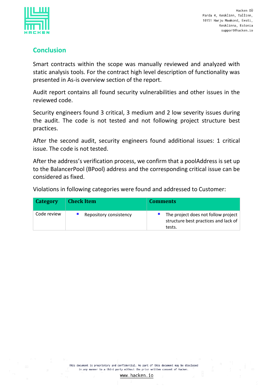

### <span id="page-20-0"></span>**Conclusion**

Smart contracts within the scope was manually reviewed and analyzed with static analysis tools. For the contract high level description of functionality was presented in As-is overview section of the report.

Audit report contains all found security vulnerabilities and other issues in the reviewed code.

Security engineers found 3 critical, 3 medium and 2 low severity issues during the audit. The code is not tested and not following project structure best practices.

After the second audit, security engineers found additional issues: 1 critical issue. The code is not tested.

After the address's verification process, we confirm that a poolAddress is set up to the BalancerPool (BPool) address and the corresponding critical issue can be considered as fixed.

Violations in following categories were found and addressed to Customer:

| Category    | <b>Check Item</b>      | <b>Comments</b>                                                                         |
|-------------|------------------------|-----------------------------------------------------------------------------------------|
| Code review | Repository consistency | The project does not follow project  <br>structure best practices and lack of<br>tests. |

This document is proprietary and confidential. No part of this document may be disclosed in any manner to a third party without the prior written consent of Hacken.